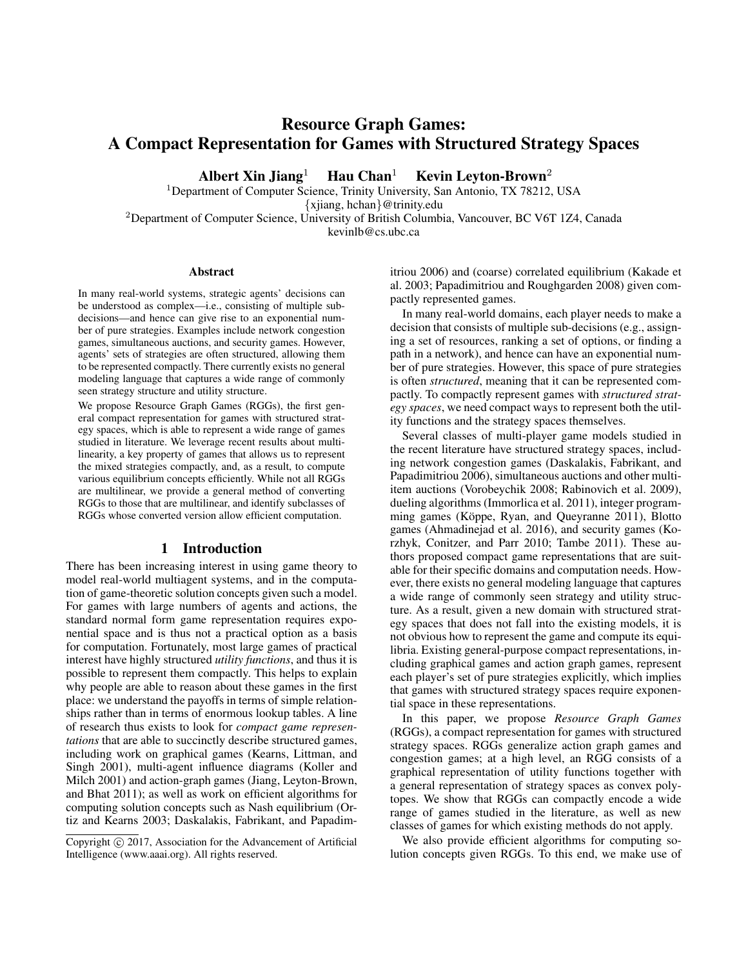# Resource Graph Games: A Compact Representation for Games with Structured Strategy Spaces

Albert Xin Jiang<sup>1</sup> Hau Chan<sup>1</sup> Kevin Leyton-Brown<sup>2</sup>

<sup>1</sup>Department of Computer Science, Trinity University, San Antonio, TX 78212, USA

{xjiang, hchan}@trinity.edu

<sup>2</sup>Department of Computer Science, University of British Columbia, Vancouver, BC V6T 1Z4, Canada kevinlb@cs.ubc.ca

## Abstract

In many real-world systems, strategic agents' decisions can be understood as complex—i.e., consisting of multiple subdecisions—and hence can give rise to an exponential number of pure strategies. Examples include network congestion games, simultaneous auctions, and security games. However, agents' sets of strategies are often structured, allowing them to be represented compactly. There currently exists no general modeling language that captures a wide range of commonly seen strategy structure and utility structure.

We propose Resource Graph Games (RGGs), the first general compact representation for games with structured strategy spaces, which is able to represent a wide range of games studied in literature. We leverage recent results about multilinearity, a key property of games that allows us to represent the mixed strategies compactly, and, as a result, to compute various equilibrium concepts efficiently. While not all RGGs are multilinear, we provide a general method of converting RGGs to those that are multilinear, and identify subclasses of RGGs whose converted version allow efficient computation.

# 1 Introduction

There has been increasing interest in using game theory to model real-world multiagent systems, and in the computation of game-theoretic solution concepts given such a model. For games with large numbers of agents and actions, the standard normal form game representation requires exponential space and is thus not a practical option as a basis for computation. Fortunately, most large games of practical interest have highly structured *utility functions*, and thus it is possible to represent them compactly. This helps to explain why people are able to reason about these games in the first place: we understand the payoffs in terms of simple relationships rather than in terms of enormous lookup tables. A line of research thus exists to look for *compact game representations* that are able to succinctly describe structured games, including work on graphical games (Kearns, Littman, and Singh 2001), multi-agent influence diagrams (Koller and Milch 2001) and action-graph games (Jiang, Leyton-Brown, and Bhat 2011); as well as work on efficient algorithms for computing solution concepts such as Nash equilibrium (Ortiz and Kearns 2003; Daskalakis, Fabrikant, and Papadimitriou 2006) and (coarse) correlated equilibrium (Kakade et al. 2003; Papadimitriou and Roughgarden 2008) given compactly represented games.

In many real-world domains, each player needs to make a decision that consists of multiple sub-decisions (e.g., assigning a set of resources, ranking a set of options, or finding a path in a network), and hence can have an exponential number of pure strategies. However, this space of pure strategies is often *structured*, meaning that it can be represented compactly. To compactly represent games with *structured strategy spaces*, we need compact ways to represent both the utility functions and the strategy spaces themselves.

Several classes of multi-player game models studied in the recent literature have structured strategy spaces, including network congestion games (Daskalakis, Fabrikant, and Papadimitriou 2006), simultaneous auctions and other multiitem auctions (Vorobeychik 2008; Rabinovich et al. 2009), dueling algorithms (Immorlica et al. 2011), integer programming games (Köppe, Ryan, and Queyranne 2011), Blotto games (Ahmadinejad et al. 2016), and security games (Korzhyk, Conitzer, and Parr 2010; Tambe 2011). These authors proposed compact game representations that are suitable for their specific domains and computation needs. However, there exists no general modeling language that captures a wide range of commonly seen strategy and utility structure. As a result, given a new domain with structured strategy spaces that does not fall into the existing models, it is not obvious how to represent the game and compute its equilibria. Existing general-purpose compact representations, including graphical games and action graph games, represent each player's set of pure strategies explicitly, which implies that games with structured strategy spaces require exponential space in these representations.

In this paper, we propose *Resource Graph Games* (RGGs), a compact representation for games with structured strategy spaces. RGGs generalize action graph games and congestion games; at a high level, an RGG consists of a graphical representation of utility functions together with a general representation of strategy spaces as convex polytopes. We show that RGGs can compactly encode a wide range of games studied in the literature, as well as new classes of games for which existing methods do not apply.

We also provide efficient algorithms for computing solution concepts given RGGs. To this end, we make use of

Copyright  $\odot$  2017, Association for the Advancement of Artificial Intelligence (www.aaai.org). All rights reserved.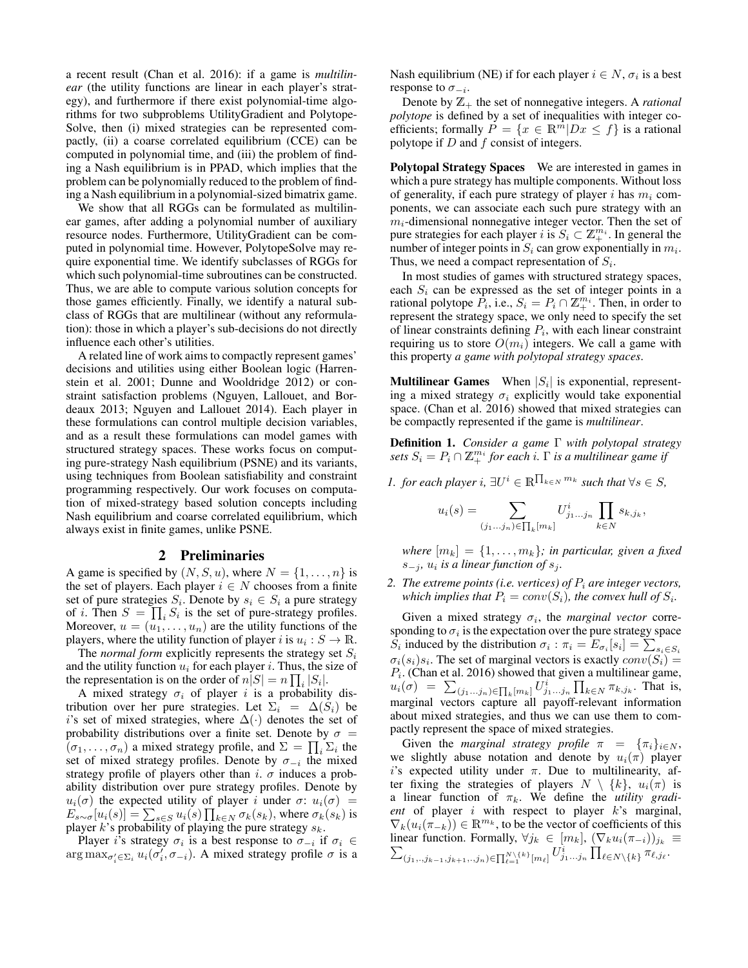a recent result (Chan et al. 2016): if a game is *multilinear* (the utility functions are linear in each player's strategy), and furthermore if there exist polynomial-time algorithms for two subproblems UtilityGradient and Polytope-Solve, then (i) mixed strategies can be represented compactly, (ii) a coarse correlated equilibrium (CCE) can be computed in polynomial time, and (iii) the problem of finding a Nash equilibrium is in PPAD, which implies that the problem can be polynomially reduced to the problem of finding a Nash equilibrium in a polynomial-sized bimatrix game.

We show that all RGGs can be formulated as multilinear games, after adding a polynomial number of auxiliary resource nodes. Furthermore, UtilityGradient can be computed in polynomial time. However, PolytopeSolve may require exponential time. We identify subclasses of RGGs for which such polynomial-time subroutines can be constructed. Thus, we are able to compute various solution concepts for those games efficiently. Finally, we identify a natural subclass of RGGs that are multilinear (without any reformulation): those in which a player's sub-decisions do not directly influence each other's utilities.

A related line of work aims to compactly represent games' decisions and utilities using either Boolean logic (Harrenstein et al. 2001; Dunne and Wooldridge 2012) or constraint satisfaction problems (Nguyen, Lallouet, and Bordeaux 2013; Nguyen and Lallouet 2014). Each player in these formulations can control multiple decision variables, and as a result these formulations can model games with structured strategy spaces. These works focus on computing pure-strategy Nash equilibrium (PSNE) and its variants, using techniques from Boolean satisfiability and constraint programming respectively. Our work focuses on computation of mixed-strategy based solution concepts including Nash equilibrium and coarse correlated equilibrium, which always exist in finite games, unlike PSNE.

#### 2 Preliminaries

A game is specified by  $(N, S, u)$ , where  $N = \{1, \ldots, n\}$  is the set of players. Each player  $i \in N$  chooses from a finite set of pure strategies  $S_i$ . Denote by  $s_i \in S_i$  a pure strategy of *i*. Then  $S = \prod_i S_i$  is the set of pure-strategy profiles. Moreover,  $u = (u_1, \ldots, u_n)$  are the utility functions of the players, where the utility function of player i is  $u_i : S \to \mathbb{R}$ .

The *normal form* explicitly represents the strategy set  $S_i$ and the utility function  $u_i$  for each player i. Thus, the size of the representation is on the order of  $n|S| = n \prod_i |S_i|$ .

A mixed strategy  $\sigma_i$  of player i is a probability distribution over her pure strategies. Let  $\Sigma_i = \Delta(S_i)$  be i's set of mixed strategies, where  $\Delta(\cdot)$  denotes the set of probability distributions over a finite set. Denote by  $\sigma =$  $(\sigma_1, \ldots, \sigma_n)$  a mixed strategy profile, and  $\Sigma = \prod_i \Sigma_i$  the set of mixed strategy profiles. Denote by  $\sigma_{-i}$  the mixed strategy profile of players other than i.  $\sigma$  induces a probability distribution over pure strategy profiles. Denote by  $u_i(\sigma)$  the expected utility of player i under  $\sigma: u_i(\sigma)$  =  $E_{s \sim \sigma}[u_i(s)] = \sum_{s \in S} u_i(s) \prod_{k \in N} \sigma_k(s_k)$ , where  $\sigma_k(s_k)$  is player k's probability of playing the pure strategy  $s_k$ .

Player *i*'s strategy  $\sigma_i$  is a best response to  $\sigma_{-i}$  if  $\sigma_i \in$  $\arg \max_{\sigma'_i \in \Sigma_i} u_i(\sigma'_i, \sigma_{-i})$ . A mixed strategy profile  $\sigma$  is a Nash equilibrium (NE) if for each player  $i \in N$ ,  $\sigma_i$  is a best response to  $\sigma_{-i}$ .

Denote by  $\mathbb{Z}_+$  the set of nonnegative integers. A *rational polytope* is defined by a set of inequalities with integer coefficients; formally  $P = \{x \in \mathbb{R}^m | Dx \leq f\}$  is a rational polytope if D and f consist of integers.

Polytopal Strategy Spaces We are interested in games in which a pure strategy has multiple components. Without loss of generality, if each pure strategy of player i has  $m_i$  components, we can associate each such pure strategy with an  $m<sub>i</sub>$ -dimensional nonnegative integer vector. Then the set of pure strategies for each player *i* is  $S_i \subset \mathbb{Z}_+^{m_i}$ . In general the number of integer points in  $S_i$  can grow exponentially in  $m_i$ . Thus, we need a compact representation of  $S_i$ .

In most studies of games with structured strategy spaces, each  $S_i$  can be expressed as the set of integer points in a rational polytope  $\dot{P}_i$ , i.e.,  $S_i = P_i \cap \mathbb{Z}_{+}^{m_i}$ . Then, in order to represent the strategy space, we only need to specify the set of linear constraints defining  $P_i$ , with each linear constraint requiring us to store  $O(m_i)$  integers. We call a game with this property *a game with polytopal strategy spaces*.

**Multilinear Games** When  $|S_i|$  is exponential, representing a mixed strategy  $\sigma_i$  explicitly would take exponential space. (Chan et al. 2016) showed that mixed strategies can be compactly represented if the game is *multilinear*.

Definition 1. *Consider a game* Γ *with polytopal strategy*  $sets S_i = P_i \cap \mathbb{Z}_+^{m_i}$  for each *i*.  $\Gamma$  *is a multilinear game if* 

*1. for each player*  $i, \exists U^i \in \mathbb{R}^{\prod_{k \in N} m_k}$  such that  $\forall s \in S$ ,

$$
u_i(s) = \sum_{(j_1...j_n) \in \prod_k [m_k]} U^i_{j_1...j_n} \prod_{k \in N} s_{k,j_k},
$$

*where*  $[m_k] = \{1, \ldots, m_k\}$ *; in particular, given a fixed*  $s_{-j}$ ,  $u_i$  is a linear function of  $s_j$ .

*2. The extreme points (i.e. vertices) of*  $P_i$  *are integer vectors,* which implies that  $P_i = conv(S_i)$ , the convex hull of  $S_i$ .

Given a mixed strategy  $\sigma_i$ , the *marginal vector* corresponding to  $\sigma_i$  is the expectation over the pure strategy space  $S_i$  induced by the distribution  $\sigma_i$ :  $\pi_i = E_{\sigma_i}[s_i] = \sum_{s_i \in S_i}$  $\sigma_i(s_i)s_i$ . The set of marginal vectors is exactly  $conv(S_i) =$  $P_i$ . (Chan et al. 2016) showed that given a multilinear game,  $u_i(\sigma) = \sum_{(j_1...j_n)\in\prod_k[m_k]} U^i_{j_1...j_n} \prod_{k\in N} \pi_{k,j_k}$ . That is, marginal vectors capture all payoff-relevant information about mixed strategies, and thus we can use them to compactly represent the space of mixed strategies.

Given the *marginal strategy profile*  $\pi = {\pi_i}_{i \in N}$ , we slightly abuse notation and denote by  $u_i(\pi)$  player i's expected utility under  $\pi$ . Due to multilinearity, after fixing the strategies of players  $N \setminus \{k\}$ ,  $u_i(\pi)$  is a linear function of  $\pi_k$ . We define the *utility gradient* of player i with respect to player k's marginal,  $\nabla_k(u_i(\pi_{-k})) \in \mathbb{R}^{m_k}$ , to be the vector of coefficients of this linear function. Formally,  $\forall j_k \in [m_k]$ ,  $(\nabla_k u_i(\pi_{-i}))_{j_k} \equiv$  $\sum_{(j_1,..j_{k-1},j_{k+1},..,j_n)\in \prod_{\ell=1}^{N\setminus\{k\}}[m_\ell]} U^i_{j_1...j_n} \prod_{\ell\in N\setminus\{k\}}\pi_{\ell,j_\ell}.$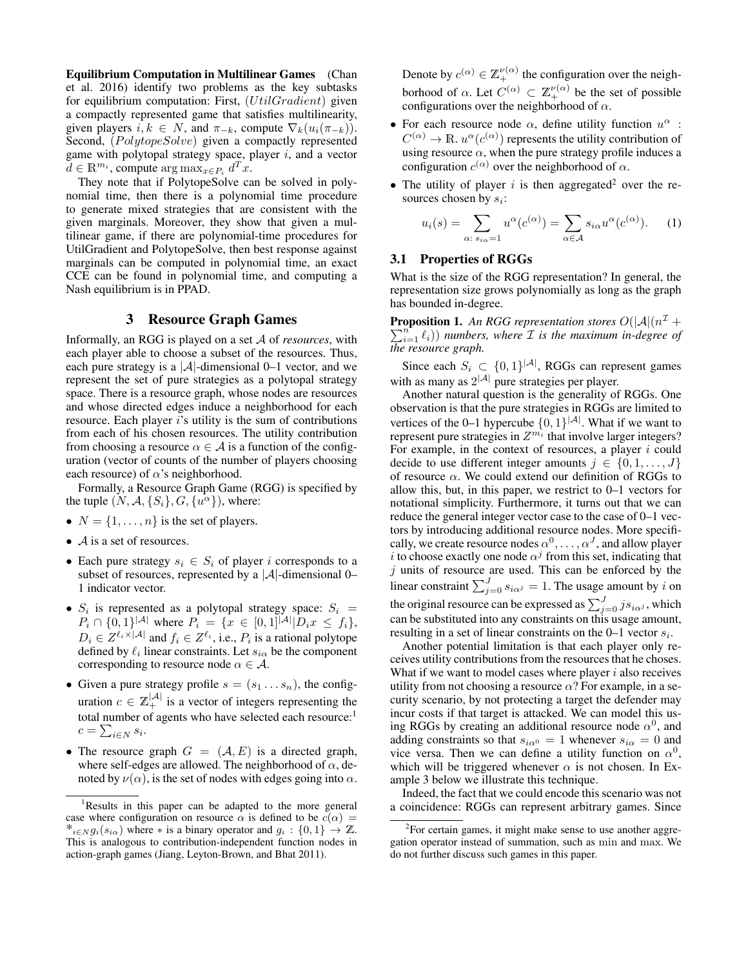Equilibrium Computation in Multilinear Games (Chan et al. 2016) identify two problems as the key subtasks for equilibrium computation: First, (UtilGradient) given a compactly represented game that satisfies multilinearity, given players  $i, k \in N$ , and  $\pi_{-k}$ , compute  $\nabla_k(u_i(\pi_{-k}))$ . Second, (PolytopeSolve) given a compactly represented game with polytopal strategy space, player  $i$ , and a vector  $d \in \mathbb{R}^{m_i}$ , compute  $\arg \max_{x \in P_i} d^T x$ .

They note that if PolytopeSolve can be solved in polynomial time, then there is a polynomial time procedure to generate mixed strategies that are consistent with the given marginals. Moreover, they show that given a multilinear game, if there are polynomial-time procedures for UtilGradient and PolytopeSolve, then best response against marginals can be computed in polynomial time, an exact CCE can be found in polynomial time, and computing a Nash equilibrium is in PPAD.

## 3 Resource Graph Games

Informally, an RGG is played on a set A of *resources*, with each player able to choose a subset of the resources. Thus, each pure strategy is a  $|A|$ -dimensional 0–1 vector, and we represent the set of pure strategies as a polytopal strategy space. There is a resource graph, whose nodes are resources and whose directed edges induce a neighborhood for each resource. Each player i's utility is the sum of contributions from each of his chosen resources. The utility contribution from choosing a resource  $\alpha \in \mathcal{A}$  is a function of the configuration (vector of counts of the number of players choosing each resource) of  $\alpha$ 's neighborhood.

Formally, a Resource Graph Game (RGG) is specified by the tuple  $(N, \mathcal{A}, \{S_i\}, G, \{u^{\alpha}\})$ , where:

- $N = \{1, \ldots, n\}$  is the set of players.
- $\mathcal A$  is a set of resources.
- Each pure strategy  $s_i \in S_i$  of player i corresponds to a subset of resources, represented by a  $|A|$ -dimensional 0– 1 indicator vector.
- $S_i$  is represented as a polytopal strategy space:  $S_i$  =  $P_i \cap \{0,1\}^{|A|}$  where  $P_i = \{x \in [0,1]^{|A|} | D_i x \le f_i\},\$  $D_i \in Z^{\ell_i \times |\mathcal{A}|}$  and  $f_i \in Z^{\ell_i}$ , i.e.,  $P_i$  is a rational polytope defined by  $\ell_i$  linear constraints. Let  $s_{i\alpha}$  be the component corresponding to resource node  $\alpha \in A$ .
- Given a pure strategy profile  $s = (s_1 \dots s_n)$ , the configuration  $c \in \mathbb{Z}_+^{|\mathcal{A}|}$  is a vector of integers representing the total number of agents who have selected each resource:<sup>1</sup>  $c = \sum_{i \in N} s_i$ .
- The resource graph  $G = (\mathcal{A}, E)$  is a directed graph, where self-edges are allowed. The neighborhood of  $\alpha$ , denoted by  $\nu(\alpha)$ , is the set of nodes with edges going into  $\alpha$ .

Denote by  $c^{(\alpha)} \in \mathbb{Z}_+^{\nu(\alpha)}$  the configuration over the neighborhood of  $\alpha$ . Let  $C^{(\alpha)} \subset \mathbb{Z}_+^{\nu(\alpha)}$  be the set of possible configurations over the neighborhood of  $\alpha$ .

- For each resource node  $\alpha$ , define utility function  $u^{\alpha}$ :  $C^{(\alpha)} \to \mathbb{R}$ .  $u^{\alpha}(c^{(\alpha)})$  represents the utility contribution of using resource  $\alpha$ , when the pure strategy profile induces a configuration  $c^{(\alpha)}$  over the neighborhood of  $\alpha$ .
- The utility of player i is then aggregated<sup>2</sup> over the resources chosen by  $s_i$ :

$$
u_i(s) = \sum_{\alpha: s_{i\alpha} = 1} u^{\alpha}(c^{(\alpha)}) = \sum_{\alpha \in \mathcal{A}} s_{i\alpha} u^{\alpha}(c^{(\alpha)})
$$
 (1)

# 3.1 Properties of RGGs

What is the size of the RGG representation? In general, the representation size grows polynomially as long as the graph has bounded in-degree.

**Proposition 1.** An RGG representation stores  $O(|A| \cdot n^{\mathcal{I}} +$  $\sum_{i=1}^{n} \ell_i$ )) *numbers, where*  $\mathcal{I}$  *is the maximum in-degree of the resource graph.*

Since each  $S_i \subset \{0,1\}^{|\mathcal{A}|}$ , RGGs can represent games with as many as  $2^{|A|}$  pure strategies per player.

Another natural question is the generality of RGGs. One observation is that the pure strategies in RGGs are limited to vertices of the 0–1 hypercube  $\{0, 1\}^{|A|}$ . What if we want to represent pure strategies in  $Z^{m_i}$  that involve larger integers? For example, in the context of resources, a player  $i$  could decide to use different integer amounts  $j \in \{0, 1, \ldots, J\}$ of resource  $\alpha$ . We could extend our definition of RGGs to allow this, but, in this paper, we restrict to 0–1 vectors for notational simplicity. Furthermore, it turns out that we can reduce the general integer vector case to the case of 0–1 vectors by introducing additional resource nodes. More specifically, we create resource nodes  $\alpha^0, \dots, \alpha^J$ , and allow player i to choose exactly one node  $\alpha^j$  from this set, indicating that  $j$  units of resource are used. This can be enforced by the linear constraint  $\sum_{j=0}^{J} s_{i\alpha j} = 1$ . The usage amount by i on the original resource can be expressed as  $\sum_{j=0}^{J} j s_{i\alpha^j}$ , which can be substituted into any constraints on this usage amount, resulting in a set of linear constraints on the  $0-1$  vector  $s_i$ .

Another potential limitation is that each player only receives utility contributions from the resources that he choses. What if we want to model cases where player  $i$  also receives utility from not choosing a resource  $\alpha$ ? For example, in a security scenario, by not protecting a target the defender may incur costs if that target is attacked. We can model this using RGGs by creating an additional resource node  $\alpha^0$ , and adding constraints so that  $s_{i\alpha} = 1$  whenever  $s_{i\alpha} = 0$  and vice versa. Then we can define a utility function on  $\alpha^0$ , which will be triggered whenever  $\alpha$  is not chosen. In Example 3 below we illustrate this technique.

Indeed, the fact that we could encode this scenario was not a coincidence: RGGs can represent arbitrary games. Since

<sup>&</sup>lt;sup>1</sup>Results in this paper can be adapted to the more general case where configuration on resource  $\alpha$  is defined to be  $c(\alpha) =$  $*_{i∈N} g_i(s_{iα})$  where  $*$  is a binary operator and  $g_i: \{0,1\} \rightarrow \mathbb{Z}$ . This is analogous to contribution-independent function nodes in action-graph games (Jiang, Leyton-Brown, and Bhat 2011).

 $2$ For certain games, it might make sense to use another aggregation operator instead of summation, such as min and max. We do not further discuss such games in this paper.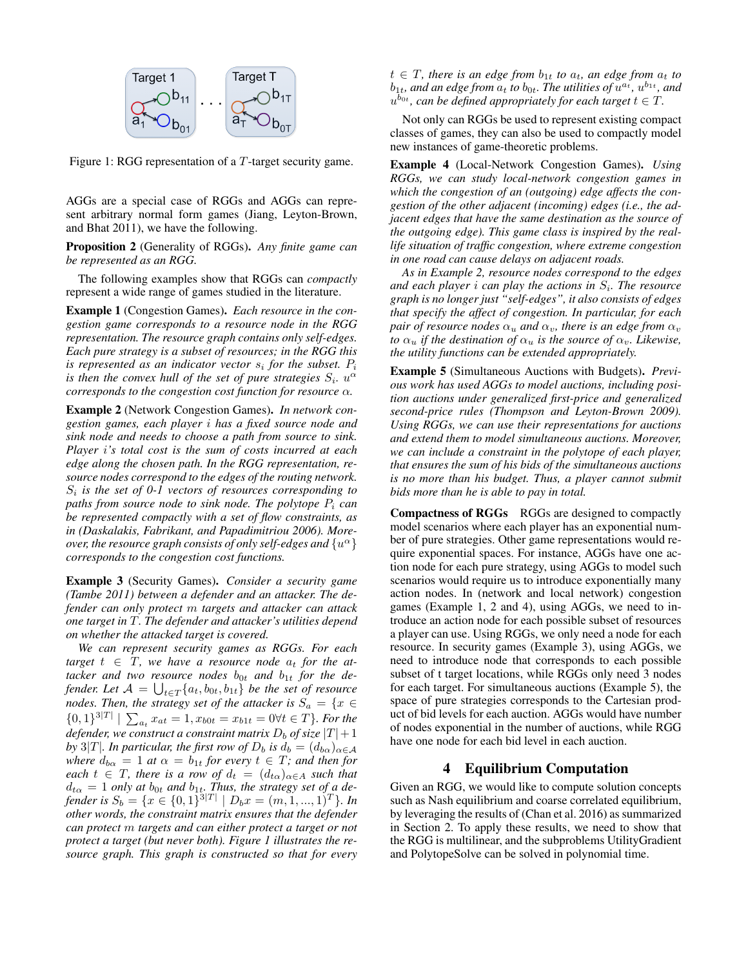

Figure 1: RGG representation of a T-target security game.

AGGs are a special case of RGGs and AGGs can represent arbitrary normal form games (Jiang, Leyton-Brown, and Bhat 2011), we have the following.

Proposition 2 (Generality of RGGs). *Any finite game can be represented as an RGG.*

The following examples show that RGGs can *compactly* represent a wide range of games studied in the literature.

Example 1 (Congestion Games). *Each resource in the congestion game corresponds to a resource node in the RGG representation. The resource graph contains only self-edges. Each pure strategy is a subset of resources; in the RGG this is represented as an indicator vector*  $s_i$  *for the subset.*  $P_i$ is then the convex hull of the set of pure strategies  $S_i$ .  $u^{\alpha}$ *corresponds to the congestion cost function for resource* α*.*

Example 2 (Network Congestion Games). *In network congestion games, each player* i *has a fixed source node and sink node and needs to choose a path from source to sink. Player* i*'s total cost is the sum of costs incurred at each edge along the chosen path. In the RGG representation, resource nodes correspond to the edges of the routing network.* Si *is the set of 0-1 vectors of resources corresponding to paths from source node to sink node. The polytope*  $P_i$  *can be represented compactly with a set of flow constraints, as in (Daskalakis, Fabrikant, and Papadimitriou 2006). More*over, the resource graph consists of only self-edges and  $\{u^\alpha\}$ *corresponds to the congestion cost functions.*

Example 3 (Security Games). *Consider a security game (Tambe 2011) between a defender and an attacker. The defender can only protect* m *targets and attacker can attack one target in* T*. The defender and attacker's utilities depend on whether the attacked target is covered.*

*We can represent security games as RGGs. For each*  $target t \in T$ , we have a resource node  $a_t$  for the at $tacket$  and two resource nodes  $b_{0t}$  and  $b_{1t}$  for the defender. Let  $\mathcal{A} = \bigcup_{t \in T} \{a_t, b_{0t}, b_{1t}\}$  be the set of resource *nodes. Then, the strategy set of the attacker is*  $S_a = \{x \in$  ${0, 1}^{3|T|} \mid \sum_{a_t} x_{at} = 1, x_{b0t} = x_{b1t} = 0 \forall t \in T$ *}. For the defender, we construct a constraint matrix*  $D_b$  *of size*  $|T|+1$ *by* 3|*T*|*. In particular, the first row of*  $D_b$  *is*  $d_b = (d_{b\alpha})_{\alpha \in A}$ *where*  $d_{b\alpha} = 1$  *at*  $\alpha = b_{1t}$  *for every*  $t \in T$ *; and then for each*  $t \in T$ *, there is a row of*  $d_t = (d_{t\alpha})_{\alpha \in A}$  *such that*  $d_{t\alpha} = 1$  *only at*  $b_{0t}$  *and*  $b_{1t}$ *. Thus, the strategy set of a defender is*  $S_b = \{x \in \{0,1\}^{3|T|} \mid D_b x = (m, 1, ..., 1)^T\}$ *. In other words, the constraint matrix ensures that the defender can protect* m *targets and can either protect a target or not protect a target (but never both). Figure 1 illustrates the resource graph. This graph is constructed so that for every*  $t \in T$ , there is an edge from  $b_{1t}$  to  $a_t$ , an edge from  $a_t$  to  $b_{1t}$ *, and an edge from*  $\overline{a}_t$  *to*  $b_{0t}$ *. The utilities of*  $\overline{u}^{a_t}$ *<i>,*  $u^{b_{1t}}$ *, and*  $u^{b_{0t}}$ , can be defined appropriately for each target  $t \in T$ .

Not only can RGGs be used to represent existing compact classes of games, they can also be used to compactly model new instances of game-theoretic problems.

Example 4 (Local-Network Congestion Games). *Using RGGs, we can study local-network congestion games in which the congestion of an (outgoing) edge affects the congestion of the other adjacent (incoming) edges (i.e., the adjacent edges that have the same destination as the source of the outgoing edge). This game class is inspired by the reallife situation of traffic congestion, where extreme congestion in one road can cause delays on adjacent roads.*

*As in Example 2, resource nodes correspond to the edges* and each player *i* can play the actions in  $S_i$ . The resource *graph is no longer just "self-edges", it also consists of edges that specify the affect of congestion. In particular, for each pair of resource nodes*  $\alpha_u$  *and*  $\alpha_v$ *, there is an edge from*  $\alpha_v$ *to*  $\alpha_u$  *if the destination of*  $\alpha_u$  *is the source of*  $\alpha_v$ *. Likewise, the utility functions can be extended appropriately.*

Example 5 (Simultaneous Auctions with Budgets). *Previous work has used AGGs to model auctions, including position auctions under generalized first-price and generalized second-price rules (Thompson and Leyton-Brown 2009). Using RGGs, we can use their representations for auctions and extend them to model simultaneous auctions. Moreover, we can include a constraint in the polytope of each player, that ensures the sum of his bids of the simultaneous auctions is no more than his budget. Thus, a player cannot submit bids more than he is able to pay in total.*

Compactness of RGGs RGGs are designed to compactly model scenarios where each player has an exponential number of pure strategies. Other game representations would require exponential spaces. For instance, AGGs have one action node for each pure strategy, using AGGs to model such scenarios would require us to introduce exponentially many action nodes. In (network and local network) congestion games (Example 1, 2 and 4), using AGGs, we need to introduce an action node for each possible subset of resources a player can use. Using RGGs, we only need a node for each resource. In security games (Example 3), using AGGs, we need to introduce node that corresponds to each possible subset of t target locations, while RGGs only need 3 nodes for each target. For simultaneous auctions (Example 5), the space of pure strategies corresponds to the Cartesian product of bid levels for each auction. AGGs would have number of nodes exponential in the number of auctions, while RGG have one node for each bid level in each auction.

# 4 Equilibrium Computation

Given an RGG, we would like to compute solution concepts such as Nash equilibrium and coarse correlated equilibrium, by leveraging the results of (Chan et al. 2016) as summarized in Section 2. To apply these results, we need to show that the RGG is multilinear, and the subproblems UtilityGradient and PolytopeSolve can be solved in polynomial time.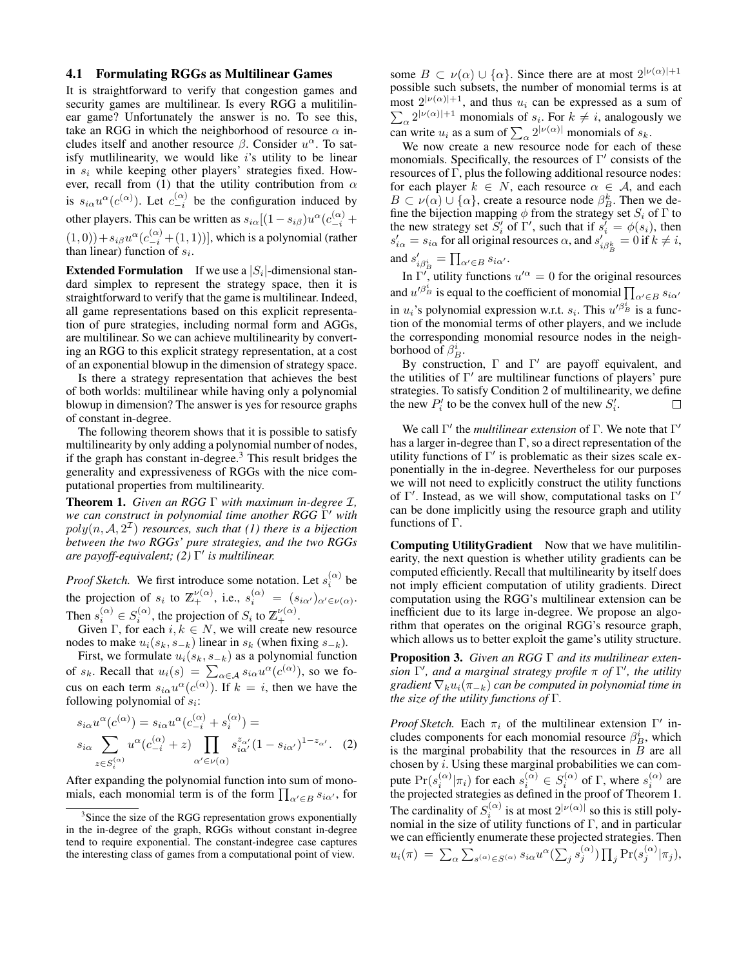#### 4.1 Formulating RGGs as Multilinear Games

It is straightforward to verify that congestion games and security games are multilinear. Is every RGG a mulitilinear game? Unfortunately the answer is no. To see this, take an RGG in which the neighborhood of resource  $\alpha$  includes itself and another resource  $\beta$ . Consider  $u^{\alpha}$ . To satisfy mutlilinearity, we would like  $i$ 's utility to be linear in  $s_i$  while keeping other players' strategies fixed. However, recall from (1) that the utility contribution from  $\alpha$ is  $s_{i\alpha}u^{\alpha}(c^{(\alpha)})$ . Let  $c_{-i}^{(\alpha)}$  be the configuration induced by other players. This can be written as  $s_{i\alpha}[(1-s_{i\beta})u^{\alpha}(c_{-i}^{(\alpha)} +$  $(1,0)$ ) +  $s_{i\beta}u^{\alpha}(c_{-i}^{(\alpha)} + (1, 1))$ ], which is a polynomial (rather than linear) function of  $s_i$ .

**Extended Formulation** If we use a  $|S_i|$ -dimensional standard simplex to represent the strategy space, then it is straightforward to verify that the game is multilinear. Indeed, all game representations based on this explicit representation of pure strategies, including normal form and AGGs, are multilinear. So we can achieve multilinearity by converting an RGG to this explicit strategy representation, at a cost of an exponential blowup in the dimension of strategy space.

Is there a strategy representation that achieves the best of both worlds: multilinear while having only a polynomial blowup in dimension? The answer is yes for resource graphs of constant in-degree.

The following theorem shows that it is possible to satisfy multilinearity by only adding a polynomial number of nodes, if the graph has constant in-degree.<sup>3</sup> This result bridges the generality and expressiveness of RGGs with the nice computational properties from multilinearity.

Theorem 1. *Given an RGG* Γ *with maximum in-degree* I*, we can construct in polynomial time another RGG* Γ <sup>0</sup> *with*  $poly(n, \mathcal{A}, 2^{\mathcal{I}})$  resources, such that (1) there is a bijection *between the two RGGs' pure strategies, and the two RGGs are payoff-equivalent; (2)* Γ 0 *is multilinear.*

*Proof Sketch.* We first introduce some notation. Let  $s_i^{(\alpha)}$  be the projection of  $s_i$  to  $\mathbb{Z}_+^{\nu(\alpha)}$ , i.e.,  $s_i^{(\alpha)} = (s_{i\alpha'})_{\alpha'\in\nu(\alpha)}$ . Then  $s_i^{(\alpha)} \in S_i^{(\alpha)}$ , the projection of  $S_i$  to  $\mathbb{Z}_+^{\nu(\alpha)}$ .

Given Γ, for each  $i, k \in N$ , we will create new resource nodes to make  $u_i(s_k, s_{-k})$  linear in  $s_k$  (when fixing  $s_{-k}$ ).

First, we formulate  $u_i(s_k, s_{-k})$  as a polynomial function of  $s_k$ . Recall that  $u_i(s) = \sum_{\alpha \in A} s_{i\alpha} u^{\alpha}(c^{(\alpha)})$ , so we focus on each term  $s_{i\alpha}u^{\alpha}(c^{(\alpha)})$ . If  $k = i$ , then we have the following polynomial of  $s_i$ :

$$
s_{i\alpha}u^{\alpha}(c^{(\alpha)}) = s_{i\alpha}u^{\alpha}(c^{(\alpha)}_{-i} + s^{(\alpha)}_{i}) =
$$
  
\n
$$
s_{i\alpha} \sum_{z \in S^{(\alpha)}_i} u^{\alpha}(c^{(\alpha)}_{-i} + z) \prod_{\alpha' \in \nu(\alpha)} s^{z_{\alpha'}}_{i\alpha'} (1 - s_{i\alpha'})^{1 - z_{\alpha'}}.
$$
 (2)

After expanding the polynomial function into sum of monomials, each monomial term is of the form  $\prod_{\alpha' \in B} s_{i\alpha'}$ , for

some  $B \subset \nu(\alpha) \cup \{\alpha\}$ . Since there are at most  $2^{|\nu(\alpha)|+1}$ possible such subsets, the number of monomial terms is at most  $2^{|\nu(\alpha)|+1}$ P , and thus  $u_i$  can be expressed as a sum of  $\alpha^{2^{|\nu(\alpha)|+1}}$  monomials of  $s_i$ . For  $k \neq i$ , analogously we can write  $u_i$  as a sum of  $\sum_{\alpha} 2^{|\nu(\alpha)|}$  monomials of  $s_k$ .

We now create a new resource node for each of these monomials. Specifically, the resources of  $\Gamma'$  consists of the resources of Γ, plus the following additional resource nodes: for each player  $k \in N$ , each resource  $\alpha \in \mathcal{A}$ , and each  $B \subset \nu(\alpha) \cup \{\alpha\}$ , create a resource node  $\beta_B^k$ . Then we define the bijection mapping  $\phi$  from the strategy set  $S_i$  of  $\Gamma$  to the new strategy set  $S_i'$  of  $\Gamma'$ , such that if  $s_i' = \phi(s_i)$ , then  $s'_{i\alpha} = s_{i\alpha}$  for all original resources  $\alpha$ , and  $s'_{i\beta_B^k} = 0$  if  $k \neq i$ , and  $s'_{i\beta_B^i} = \prod_{\alpha' \in B} s_{i\alpha'}$ .

In  $\Gamma'$ , utility functions  $u'^{\alpha} = 0$  for the original resources and  $u'^{\beta_B^i}$  is equal to the coefficient of monomial  $\prod_{\alpha'\in B}s_{i\alpha'}$ in  $u_i$ 's polynomial expression w.r.t.  $s_i$ . This  $u'^{\beta_B^i}$  is a function of the monomial terms of other players, and we include the corresponding monomial resource nodes in the neighborhood of  $\beta_B^i$ .

By construction,  $\Gamma$  and  $\Gamma'$  are payoff equivalent, and the utilities of  $\Gamma'$  are multilinear functions of players' pure strategies. To satisfy Condition 2 of multilinearity, we define the new  $P'_i$  to be the convex hull of the new  $S'_i$ . П

We call  $\Gamma'$  the *multilinear extension* of  $\Gamma$ . We note that  $\Gamma'$ has a larger in-degree than  $\Gamma$ , so a direct representation of the utility functions of  $\Gamma'$  is problematic as their sizes scale exponentially in the in-degree. Nevertheless for our purposes we will not need to explicitly construct the utility functions of  $\Gamma'$ . Instead, as we will show, computational tasks on  $\Gamma'$ can be done implicitly using the resource graph and utility functions of Γ.

Computing UtilityGradient Now that we have mulitilinearity, the next question is whether utility gradients can be computed efficiently. Recall that multilinearity by itself does not imply efficient computation of utility gradients. Direct computation using the RGG's multilinear extension can be inefficient due to its large in-degree. We propose an algorithm that operates on the original RGG's resource graph, which allows us to better exploit the game's utility structure.

Proposition 3. *Given an RGG* Γ *and its multilinear extension*  $\Gamma'$ , and a marginal strategy profile π of  $\Gamma'$ , the utility *gradient*  $\nabla_k u_i(\pi_{-k})$  *can be computed in polynomial time in the size of the utility functions of* Γ*.*

*Proof Sketch.* Each  $\pi_i$  of the multilinear extension  $\Gamma'$  includes components for each monomial resource  $\beta_B^i$ , which is the marginal probability that the resources in  $B$  are all chosen by  $i$ . Using these marginal probabilities we can compute  $Pr(s_i^{(\alpha)}|\pi_i)$  for each  $s_i^{(\alpha)} \in S_i^{(\alpha)}$  of  $\Gamma$ , where  $s_i^{(\alpha)}$  are the projected strategies as defined in the proof of Theorem 1. The cardinality of  $S_i^{(\alpha)}$  is at most  $2^{|\nu(\alpha)|}$  so this is still polynomial in the size of utility functions of  $\Gamma$ , and in particular we can efficiently enumerate these projected strategies. Then  $u_i(\pi)~=~\sum_{\alpha} \sum_{s^{(\alpha)} \in S^{(\alpha)}} s_{i\alpha} u^{\alpha} (\sum_j s^{(\alpha)}_j) \prod_j \Pr(s^{(\alpha)}_j|\pi_j),$ 

<sup>&</sup>lt;sup>3</sup>Since the size of the RGG representation grows exponentially in the in-degree of the graph, RGGs without constant in-degree tend to require exponential. The constant-indegree case captures the interesting class of games from a computational point of view.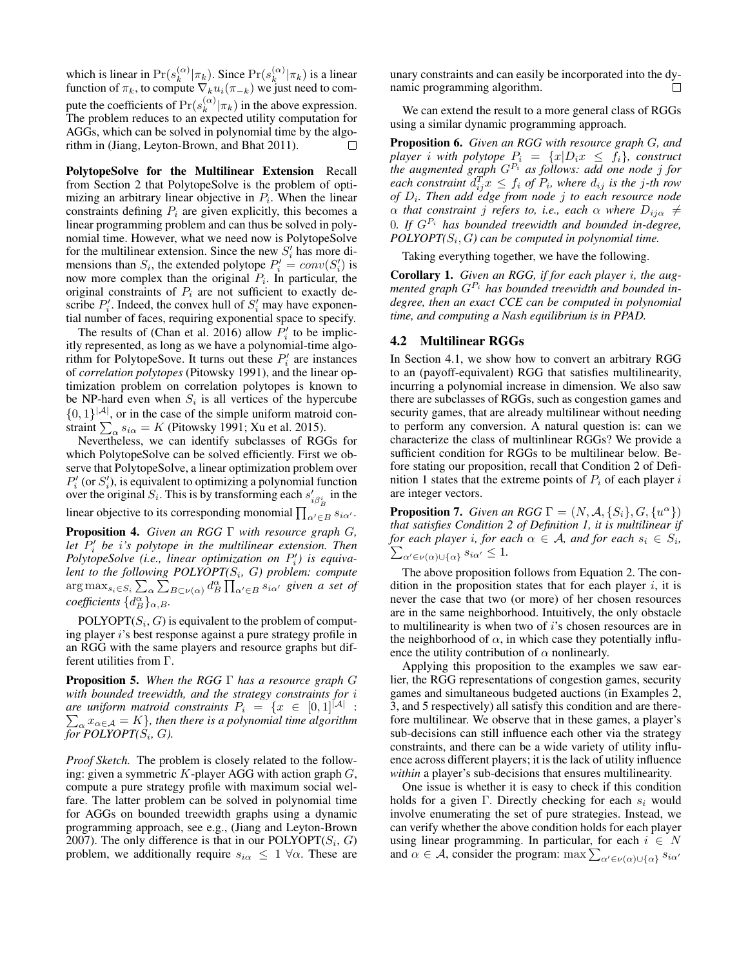which is linear in  $Pr(s_k^{(\alpha)})$  $\binom{\alpha}{k}$   $|\pi_k)$ . Since  $\Pr(s_k^{(\alpha)})$  $\binom{\alpha}{k}$   $(\pi_k)$  is a linear function of  $\pi_k$ , to compute  $\nabla_k u_i(\pi_{-k})$  we just need to compute the coefficients of  $Pr(s_k^{(\alpha)})$  $\binom{\alpha}{k}$   $|\pi_k|$  in the above expression. The problem reduces to an expected utility computation for AGGs, which can be solved in polynomial time by the algorithm in (Jiang, Leyton-Brown, and Bhat 2011). П

PolytopeSolve for the Multilinear Extension Recall from Section 2 that PolytopeSolve is the problem of optimizing an arbitrary linear objective in  $P_i$ . When the linear constraints defining  $P_i$  are given explicitly, this becomes a linear programming problem and can thus be solved in polynomial time. However, what we need now is PolytopeSolve for the multilinear extension. Since the new  $S_i'$  has more dimensions than  $S_i$ , the extended polytope  $P'_i = conv(S'_i)$  is now more complex than the original  $P_i$ . In particular, the original constraints of  $P_i$  are not sufficient to exactly describe  $P'_i$ . Indeed, the convex hull of  $S'_i$  may have exponential number of faces, requiring exponential space to specify.

The results of (Chan et al. 2016) allow  $P'_i$  to be implicitly represented, as long as we have a polynomial-time algorithm for PolytopeSove. It turns out these  $P'_i$  are instances of *correlation polytopes* (Pitowsky 1991), and the linear optimization problem on correlation polytopes is known to be NP-hard even when  $S_i$  is all vertices of the hypercube  $\{0, 1\}^{|A|}$ , or in the case of the simple uniform matroid constraint  $\sum_{\alpha} s_{i\alpha} = K$  (Pitowsky 1991; Xu et al. 2015).

Nevertheless, we can identify subclasses of RGGs for which PolytopeSolve can be solved efficiently. First we observe that PolytopeSolve, a linear optimization problem over  $P'_{i}$  (or  $S'_{i}$ ), is equivalent to optimizing a polynomial function over the original  $S_i$ . This is by transforming each  $s'_{i\beta_B}$  in the

linear objective to its corresponding monomial  $\prod_{\alpha' \in B} s_{i\alpha'}$ .

Proposition 4. *Given an RGG* Γ *with resource graph* G*,* let  $P'_i$  be *i*'s polytope in the multilinear extension. Then *PolytopeSolve* (*i.e.*, *linear optimization on*  $P'_i$ ) *is equivalent to the following POLYOPT(*S<sup>i</sup> *,* G*) problem: compute*  $\arg\max_{s_i \in S_i} \sum_\alpha \sum_{B \subset \nu(\alpha)}^{\infty} d_B^{\alpha} \prod_{\alpha' \in B} s_{i\alpha'}$  given a set of  $coefficients \{d_B^{\alpha}\}_{{\alpha},B}$ .

 $POLYOPT(S<sub>i</sub>, G)$  is equivalent to the problem of computing player i's best response against a pure strategy profile in an RGG with the same players and resource graphs but different utilities from Γ.

Proposition 5. *When the RGG* Γ *has a resource graph* G *with bounded treewidth, and the strategy constraints for* i *are uniform matroid constraints*  $P_i = \{x \in [0,1]^{|\mathcal{A}|} :$ are uniform matroid constraints  $P_i = \{x \in [0,1]^{|\mathcal{A}|} : \sum_{\alpha} x_{\alpha \in \mathcal{A}} = K\}$ , then there is a polynomial time algorithm for  $POLYOPT(S_i, G)$ .

*Proof Sketch.* The problem is closely related to the following: given a symmetric  $K$ -player AGG with action graph  $G$ , compute a pure strategy profile with maximum social welfare. The latter problem can be solved in polynomial time for AGGs on bounded treewidth graphs using a dynamic programming approach, see e.g., (Jiang and Leyton-Brown 2007). The only difference is that in our POLYOPT( $S_i$ ,  $G$ ) problem, we additionally require  $s_{i\alpha} \leq 1 \ \forall \alpha$ . These are

unary constraints and can easily be incorporated into the dynamic programming algorithm.  $\Box$ 

We can extend the result to a more general class of RGGs using a similar dynamic programming approach.

Proposition 6. *Given an RGG with resource graph* G*, and player i* with polytope  $P_i = \{x | D_i x \leq f_i\}$ , construct *the augmented graph*  $G^{P_i}$  *as follows: add one node j for*  $\mathit{each}$  constraint  $d_{ij}^T x \leq f_i$  of  $P_i$ , where  $d_{ij}$  is the j-th row *of* D<sup>i</sup> *. Then add edge from node* j *to each resource node*  $\alpha$  *that constraint j refers to, i.e., each*  $\alpha$  *where*  $D_{ij\alpha} \neq$ 0*. If* GP<sup>i</sup> *has bounded treewidth and bounded in-degree, POLYOPT(*S<sup>i</sup> , G*) can be computed in polynomial time.*

Taking everything together, we have the following.

Corollary 1. *Given an RGG, if for each player* i*, the augmented graph* GP<sup>i</sup> *has bounded treewidth and bounded indegree, then an exact CCE can be computed in polynomial time, and computing a Nash equilibrium is in PPAD.*

### 4.2 Multilinear RGGs

In Section 4.1, we show how to convert an arbitrary RGG to an (payoff-equivalent) RGG that satisfies multilinearity, incurring a polynomial increase in dimension. We also saw there are subclasses of RGGs, such as congestion games and security games, that are already multilinear without needing to perform any conversion. A natural question is: can we characterize the class of multinlinear RGGs? We provide a sufficient condition for RGGs to be multilinear below. Before stating our proposition, recall that Condition 2 of Definition 1 states that the extreme points of  $P_i$  of each player i are integer vectors.

**Proposition 7.** *Given an RGG*  $\Gamma = (N, \mathcal{A}, \{S_i\}, G, \{u^\alpha\})$ *that satisfies Condition 2 of Definition 1, it is multilinear if for each player i, for each*  $\alpha \in A$ *, and for each*  $s_i \in S_i$ ,  $\sum_{\alpha' \in u(\alpha) \cup \{a\}} s_{i\alpha'} \leq 1$ .  $\alpha' \in \nu(\alpha) \cup \{\alpha\}$   $s_{i\alpha'} \leq 1$ .

The above proposition follows from Equation 2. The condition in the proposition states that for each player  $i$ , it is never the case that two (or more) of her chosen resources are in the same neighborhood. Intuitively, the only obstacle to multilinearity is when two of i's chosen resources are in the neighborhood of  $\alpha$ , in which case they potentially influence the utility contribution of  $\alpha$  nonlinearly.

Applying this proposition to the examples we saw earlier, the RGG representations of congestion games, security games and simultaneous budgeted auctions (in Examples 2, 3, and 5 respectively) all satisfy this condition and are therefore multilinear. We observe that in these games, a player's sub-decisions can still influence each other via the strategy constraints, and there can be a wide variety of utility influence across different players; it is the lack of utility influence *within* a player's sub-decisions that ensures multilinearity.

One issue is whether it is easy to check if this condition holds for a given Γ. Directly checking for each  $s_i$  would involve enumerating the set of pure strategies. Instead, we can verify whether the above condition holds for each player using linear programming. In particular, for each  $i \in N$ and  $\alpha \in A$ , consider the program: max  $\sum_{\alpha' \in \nu(\alpha) \cup \{\alpha\}} s_{i\alpha'}$